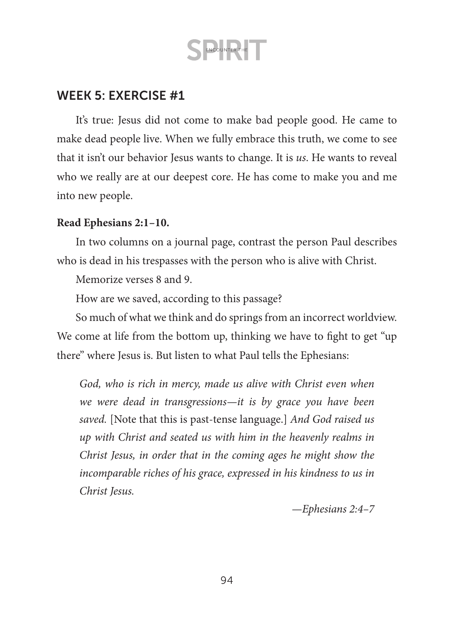### WEEK 5: EXERCISE #1

It's true: Jesus did not come to make bad people good. He came to make dead people live. When we fully embrace this truth, we come to see that it isn't our behavior Jesus wants to change. It is *us*. He wants to reveal who we really are at our deepest core. He has come to make you and me into new people.

#### **Read Ephesians 2:1–10.**

In two columns on a journal page, contrast the person Paul describes who is dead in his trespasses with the person who is alive with Christ.

Memorize verses 8 and 9.

How are we saved, according to this passage?

So much of what we think and do springs from an incorrect worldview. We come at life from the bottom up, thinking we have to fight to get "up there" where Jesus is. But listen to what Paul tells the Ephesians:

*God, who is rich in mercy, made us alive with Christ even when we were dead in transgressions—it is by grace you have been saved.* [Note that this is past-tense language.] *And God raised us up with Christ and seated us with him in the heavenly realms in Christ Jesus, in order that in the coming ages he might show the incomparable riches of his grace, expressed in his kindness to us in Christ Jesus.* 

*—Ephesians 2:4–7*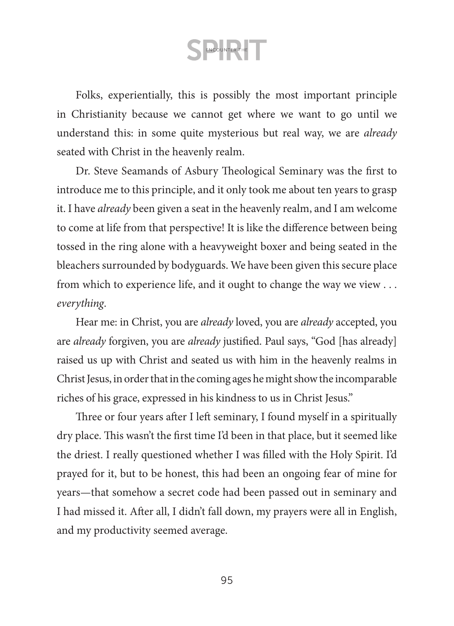Folks, experientially, this is possibly the most important principle in Christianity because we cannot get where we want to go until we understand this: in some quite mysterious but real way, we are *already* seated with Christ in the heavenly realm.

Dr. Steve Seamands of Asbury Theological Seminary was the first to introduce me to this principle, and it only took me about ten years to grasp it. I have *already* been given a seat in the heavenly realm, and I am welcome to come at life from that perspective! It is like the difference between being tossed in the ring alone with a heavyweight boxer and being seated in the bleachers surrounded by bodyguards. We have been given this secure place from which to experience life, and it ought to change the way we view . . . *everything*.

Hear me: in Christ, you are *already* loved, you are *already* accepted, you are *already* forgiven, you are *already* justified. Paul says, "God [has already] raised us up with Christ and seated us with him in the heavenly realms in Christ Jesus, in order that in the coming ages he might show the incomparable riches of his grace, expressed in his kindness to us in Christ Jesus."

Three or four years after I left seminary, I found myself in a spiritually dry place. This wasn't the first time I'd been in that place, but it seemed like the driest. I really questioned whether I was filled with the Holy Spirit. I'd prayed for it, but to be honest, this had been an ongoing fear of mine for years—that somehow a secret code had been passed out in seminary and I had missed it. After all, I didn't fall down, my prayers were all in English, and my productivity seemed average.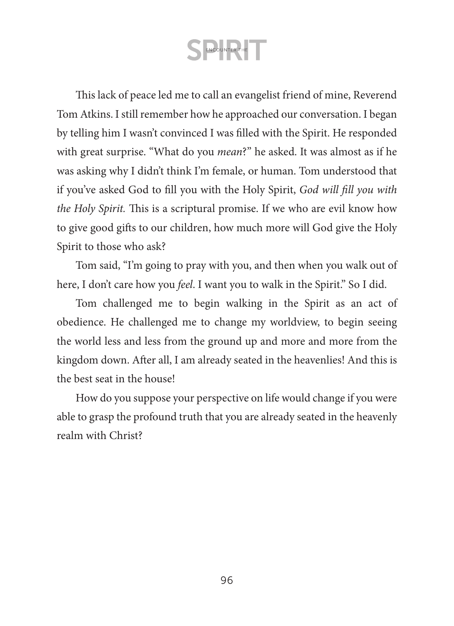This lack of peace led me to call an evangelist friend of mine, Reverend Tom Atkins. I still remember how he approached our conversation. I began by telling him I wasn't convinced I was filled with the Spirit. He responded with great surprise. "What do you *mean*?" he asked. It was almost as if he was asking why I didn't think I'm female, or human. Tom understood that if you've asked God to fill you with the Holy Spirit, *God will fill you with the Holy Spirit.* This is a scriptural promise. If we who are evil know how to give good gifts to our children, how much more will God give the Holy Spirit to those who ask?

Tom said, "I'm going to pray with you, and then when you walk out of here, I don't care how you *feel*. I want you to walk in the Spirit." So I did.

Tom challenged me to begin walking in the Spirit as an act of obedience. He challenged me to change my worldview, to begin seeing the world less and less from the ground up and more and more from the kingdom down. After all, I am already seated in the heavenlies! And this is the best seat in the house!

How do you suppose your perspective on life would change if you were able to grasp the profound truth that you are already seated in the heavenly realm with Christ?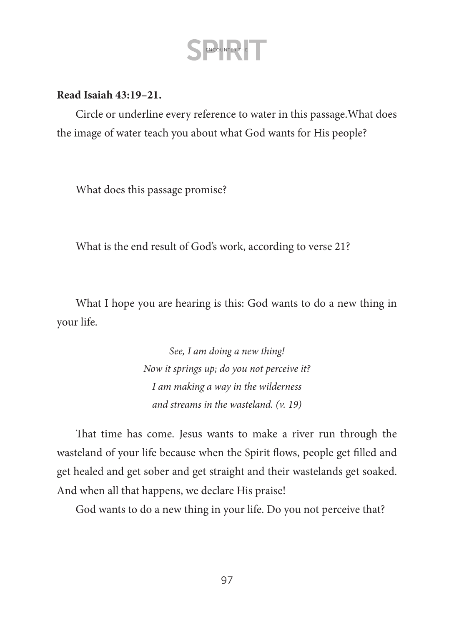#### **Read Isaiah 43:19–21.**

Circle or underline every reference to water in this passage.What does the image of water teach you about what God wants for His people?

What does this passage promise?

What is the end result of God's work, according to verse 21?

What I hope you are hearing is this: God wants to do a new thing in your life.

> *See, I am doing a new thing! Now it springs up; do you not perceive it? I am making a way in the wilderness and streams in the wasteland. (v. 19)*

That time has come. Jesus wants to make a river run through the wasteland of your life because when the Spirit flows, people get filled and get healed and get sober and get straight and their wastelands get soaked. And when all that happens, we declare His praise!

God wants to do a new thing in your life. Do you not perceive that?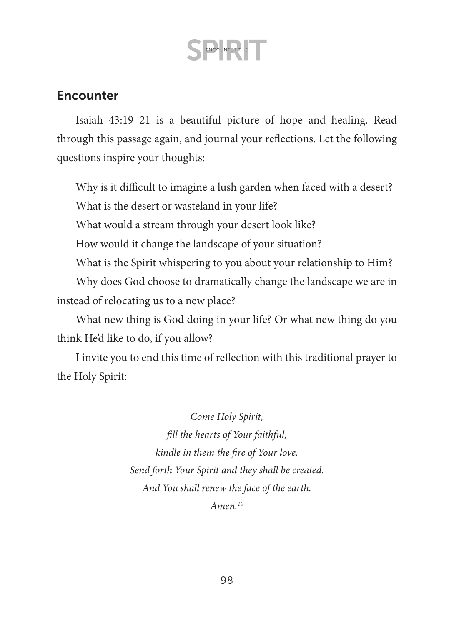### **Encounter**

Isaiah 43:19–21 is a beautiful picture of hope and healing. Read through this passage again, and journal your reflections. Let the following questions inspire your thoughts:

Why is it difficult to imagine a lush garden when faced with a desert? What is the desert or wasteland in your life?

What would a stream through your desert look like?

How would it change the landscape of your situation?

What is the Spirit whispering to you about your relationship to Him?

Why does God choose to dramatically change the landscape we are in instead of relocating us to a new place?

What new thing is God doing in your life? Or what new thing do you think He'd like to do, if you allow?

I invite you to end this time of reflection with this traditional prayer to the Holy Spirit:

> *Come Holy Spirit, fill the hearts of Your faithful, kindle in them the fire of Your love. Send forth Your Spirit and they shall be created. And You shall renew the face of the earth. Amen.10*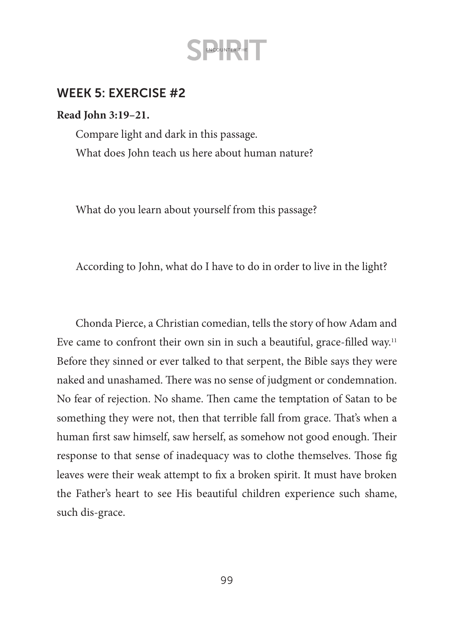### WEEK 5: EXERCISE #2

#### **Read John 3:19–21.**

Compare light and dark in this passage. What does John teach us here about human nature?

What do you learn about yourself from this passage?

According to John, what do I have to do in order to live in the light?

Chonda Pierce, a Christian comedian, tells the story of how Adam and Eve came to confront their own sin in such a beautiful, grace-filled way.<sup>11</sup> Before they sinned or ever talked to that serpent, the Bible says they were naked and unashamed. There was no sense of judgment or condemnation. No fear of rejection. No shame. Then came the temptation of Satan to be something they were not, then that terrible fall from grace. That's when a human first saw himself, saw herself, as somehow not good enough. Their response to that sense of inadequacy was to clothe themselves. Those fig leaves were their weak attempt to fix a broken spirit. It must have broken the Father's heart to see His beautiful children experience such shame, such dis-grace.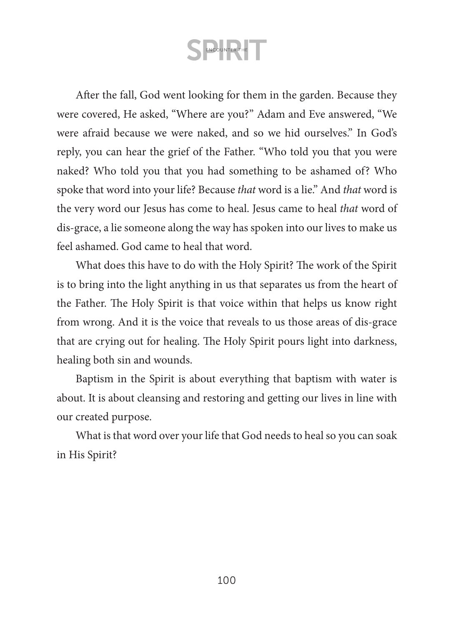After the fall, God went looking for them in the garden. Because they were covered, He asked, "Where are you?" Adam and Eve answered, "We were afraid because we were naked, and so we hid ourselves." In God's reply, you can hear the grief of the Father. "Who told you that you were naked? Who told you that you had something to be ashamed of? Who spoke that word into your life? Because *that* word is a lie." And *that* word is the very word our Jesus has come to heal. Jesus came to heal *that* word of dis-grace, a lie someone along the way has spoken into our lives to make us feel ashamed. God came to heal that word.

What does this have to do with the Holy Spirit? The work of the Spirit is to bring into the light anything in us that separates us from the heart of the Father. The Holy Spirit is that voice within that helps us know right from wrong. And it is the voice that reveals to us those areas of dis-grace that are crying out for healing. The Holy Spirit pours light into darkness, healing both sin and wounds.

Baptism in the Spirit is about everything that baptism with water is about. It is about cleansing and restoring and getting our lives in line with our created purpose.

What is that word over your life that God needs to heal so you can soak in His Spirit?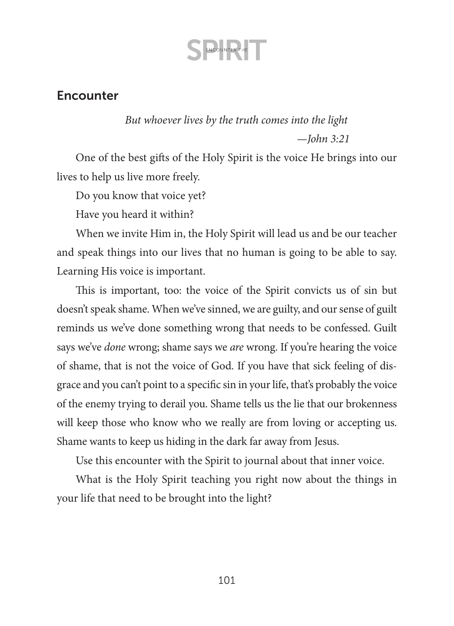### **Encounter**

### *But whoever lives by the truth comes into the light —John 3:21*

One of the best gifts of the Holy Spirit is the voice He brings into our lives to help us live more freely.

Do you know that voice yet?

Have you heard it within?

When we invite Him in, the Holy Spirit will lead us and be our teacher and speak things into our lives that no human is going to be able to say. Learning His voice is important.

This is important, too: the voice of the Spirit convicts us of sin but doesn't speak shame. When we've sinned, we are guilty, and our sense of guilt reminds us we've done something wrong that needs to be confessed. Guilt says we've *done* wrong; shame says we *are* wrong. If you're hearing the voice of shame, that is not the voice of God. If you have that sick feeling of disgrace and you can't point to a specific sin in your life, that's probably the voice of the enemy trying to derail you. Shame tells us the lie that our brokenness will keep those who know who we really are from loving or accepting us. Shame wants to keep us hiding in the dark far away from Jesus.

Use this encounter with the Spirit to journal about that inner voice.

What is the Holy Spirit teaching you right now about the things in your life that need to be brought into the light?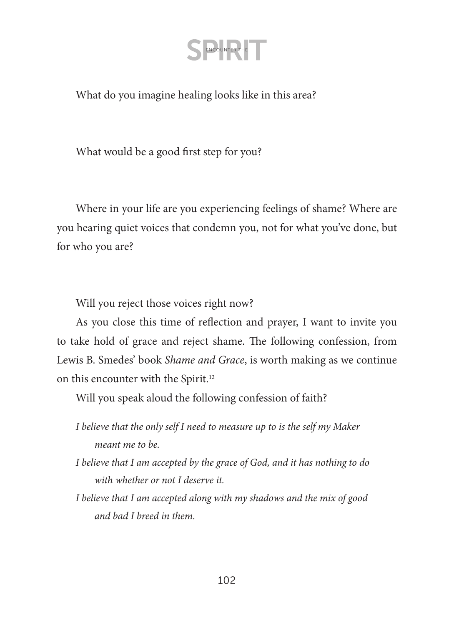What do you imagine healing looks like in this area?

What would be a good first step for you?

Where in your life are you experiencing feelings of shame? Where are you hearing quiet voices that condemn you, not for what you've done, but for who you are?

Will you reject those voices right now?

As you close this time of reflection and prayer, I want to invite you to take hold of grace and reject shame. The following confession, from Lewis B. Smedes' book *Shame and Grace*, is worth making as we continue on this encounter with the Spirit.<sup>12</sup>

Will you speak aloud the following confession of faith?

*I believe that the only self I need to measure up to is the self my Maker meant me to be.*

- *I believe that I am accepted by the grace of God, and it has nothing to do with whether or not I deserve it.*
- *I believe that I am accepted along with my shadows and the mix of good and bad I breed in them.*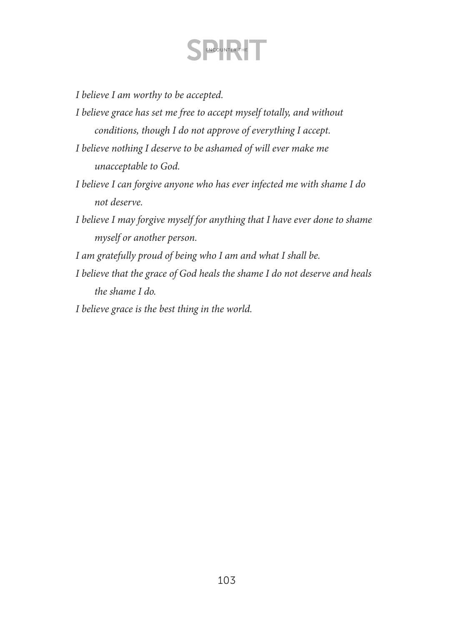*I believe I am worthy to be accepted.*

- *I believe grace has set me free to accept myself totally, and without conditions, though I do not approve of everything I accept.*
- *I believe nothing I deserve to be ashamed of will ever make me unacceptable to God.*
- *I believe I can forgive anyone who has ever infected me with shame I do not deserve.*
- *I believe I may forgive myself for anything that I have ever done to shame myself or another person.*
- *I am gratefully proud of being who I am and what I shall be.*
- *I believe that the grace of God heals the shame I do not deserve and heals the shame I do.*
- *I believe grace is the best thing in the world.*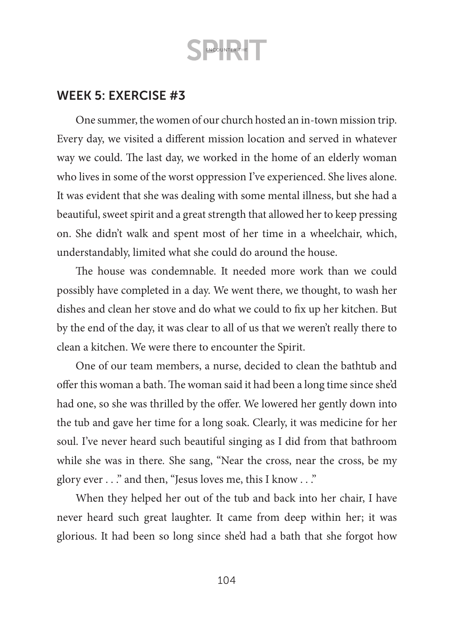### WEEK 5: EXERCISE #3

One summer, the women of our church hosted an in-town mission trip. Every day, we visited a different mission location and served in whatever way we could. The last day, we worked in the home of an elderly woman who lives in some of the worst oppression I've experienced. She lives alone. It was evident that she was dealing with some mental illness, but she had a beautiful, sweet spirit and a great strength that allowed her to keep pressing on. She didn't walk and spent most of her time in a wheelchair, which, understandably, limited what she could do around the house.

The house was condemnable. It needed more work than we could possibly have completed in a day. We went there, we thought, to wash her dishes and clean her stove and do what we could to fix up her kitchen. But by the end of the day, it was clear to all of us that we weren't really there to clean a kitchen. We were there to encounter the Spirit.

One of our team members, a nurse, decided to clean the bathtub and offer this woman a bath. The woman said it had been a long time since she'd had one, so she was thrilled by the offer. We lowered her gently down into the tub and gave her time for a long soak. Clearly, it was medicine for her soul. I've never heard such beautiful singing as I did from that bathroom while she was in there*.* She sang, "Near the cross, near the cross, be my glory ever . . ." and then, "Jesus loves me, this I know . . ."

When they helped her out of the tub and back into her chair, I have never heard such great laughter. It came from deep within her; it was glorious. It had been so long since she'd had a bath that she forgot how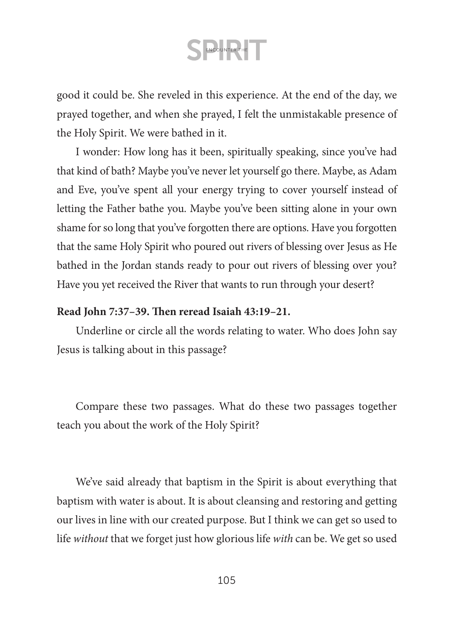good it could be. She reveled in this experience. At the end of the day, we prayed together, and when she prayed, I felt the unmistakable presence of the Holy Spirit. We were bathed in it.

I wonder: How long has it been, spiritually speaking, since you've had that kind of bath? Maybe you've never let yourself go there. Maybe, as Adam and Eve, you've spent all your energy trying to cover yourself instead of letting the Father bathe you. Maybe you've been sitting alone in your own shame for so long that you've forgotten there are options. Have you forgotten that the same Holy Spirit who poured out rivers of blessing over Jesus as He bathed in the Jordan stands ready to pour out rivers of blessing over you? Have you yet received the River that wants to run through your desert?

#### **Read John 7:37–39. Then reread Isaiah 43:19–21.**

Underline or circle all the words relating to water. Who does John say Jesus is talking about in this passage?

Compare these two passages. What do these two passages together teach you about the work of the Holy Spirit?

We've said already that baptism in the Spirit is about everything that baptism with water is about. It is about cleansing and restoring and getting our lives in line with our created purpose. But I think we can get so used to life *without* that we forget just how glorious life *with* can be. We get so used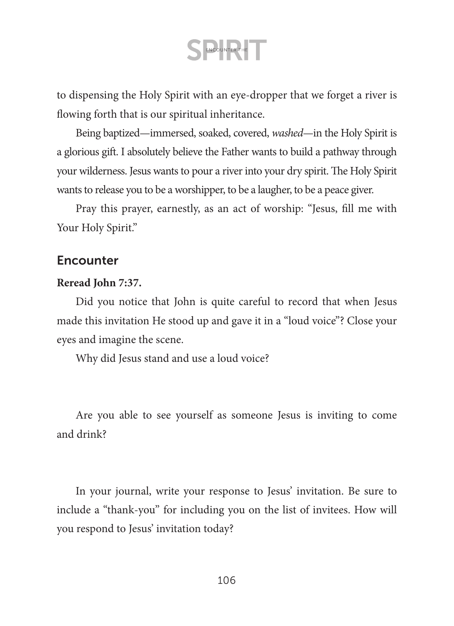to dispensing the Holy Spirit with an eye-dropper that we forget a river is flowing forth that is our spiritual inheritance.

Being baptized—immersed, soaked, covered, *washed*—in the Holy Spirit is a glorious gift. I absolutely believe the Father wants to build a pathway through your wilderness. Jesus wants to pour a river into your dry spirit. The Holy Spirit wants to release you to be a worshipper, to be a laugher, to be a peace giver.

Pray this prayer, earnestly, as an act of worship: "Jesus, fill me with Your Holy Spirit."

#### **Encounter**

#### **Reread John 7:37.**

Did you notice that John is quite careful to record that when Jesus made this invitation He stood up and gave it in a "loud voice"? Close your eyes and imagine the scene.

Why did Jesus stand and use a loud voice?

Are you able to see yourself as someone Jesus is inviting to come and drink?

In your journal, write your response to Jesus' invitation. Be sure to include a "thank-you" for including you on the list of invitees. How will you respond to Jesus' invitation today?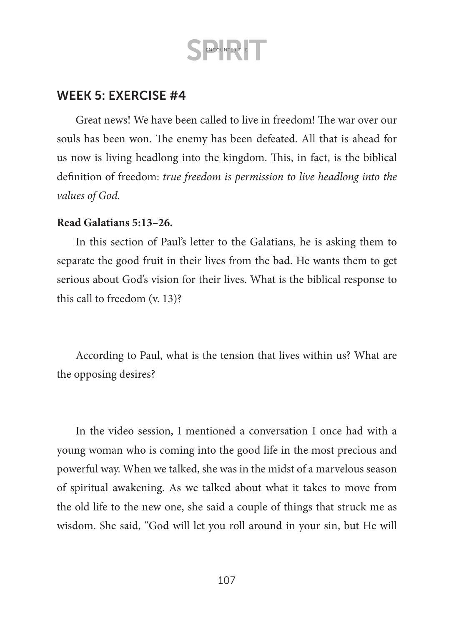### WEEK 5: EXERCISE #4

Great news! We have been called to live in freedom! The war over our souls has been won. The enemy has been defeated. All that is ahead for us now is living headlong into the kingdom. This, in fact, is the biblical definition of freedom: *true freedom is permission to live headlong into the values of God.*

#### **Read Galatians 5:13–26.**

In this section of Paul's letter to the Galatians, he is asking them to separate the good fruit in their lives from the bad. He wants them to get serious about God's vision for their lives. What is the biblical response to this call to freedom (v. 13)?

According to Paul, what is the tension that lives within us? What are the opposing desires?

In the video session, I mentioned a conversation I once had with a young woman who is coming into the good life in the most precious and powerful way. When we talked, she was in the midst of a marvelous season of spiritual awakening. As we talked about what it takes to move from the old life to the new one, she said a couple of things that struck me as wisdom. She said, "God will let you roll around in your sin, but He will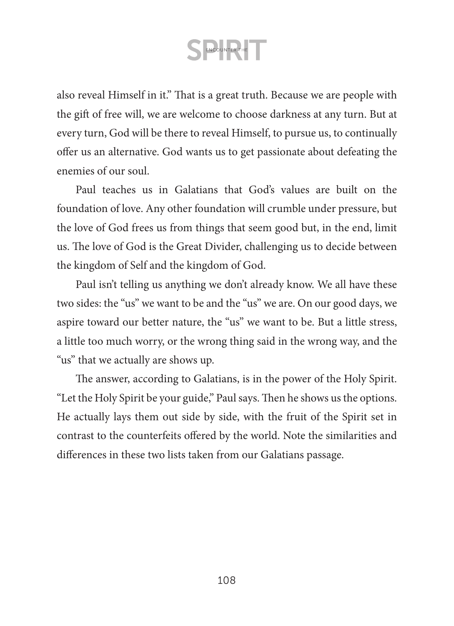also reveal Himself in it." That is a great truth. Because we are people with the gift of free will, we are welcome to choose darkness at any turn. But at every turn, God will be there to reveal Himself, to pursue us, to continually offer us an alternative. God wants us to get passionate about defeating the enemies of our soul.

Paul teaches us in Galatians that God's values are built on the foundation of love. Any other foundation will crumble under pressure, but the love of God frees us from things that seem good but, in the end, limit us. The love of God is the Great Divider, challenging us to decide between the kingdom of Self and the kingdom of God.

Paul isn't telling us anything we don't already know. We all have these two sides: the "us" we want to be and the "us" we are. On our good days, we aspire toward our better nature, the "us" we want to be. But a little stress, a little too much worry, or the wrong thing said in the wrong way, and the "us" that we actually are shows up.

The answer, according to Galatians, is in the power of the Holy Spirit. "Let the Holy Spirit be your guide," Paul says. Then he shows us the options. He actually lays them out side by side, with the fruit of the Spirit set in contrast to the counterfeits offered by the world. Note the similarities and differences in these two lists taken from our Galatians passage.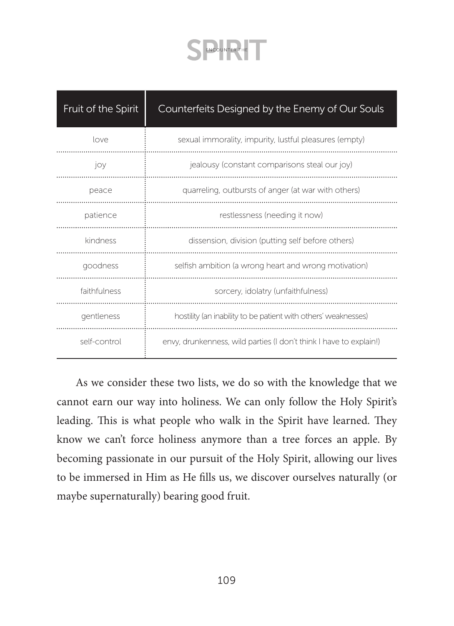| Fruit of the Spirit | Counterfeits Designed by the Enemy of Our Souls                    |
|---------------------|--------------------------------------------------------------------|
| love                | sexual immorality, impurity, lustful pleasures (empty)             |
| joy                 | jealousy (constant comparisons steal our joy)                      |
| peace               | quarreling, outbursts of anger (at war with others)                |
| patience            | restlessness (needing it now)                                      |
| kindness            | dissension, division (putting self before others)                  |
| goodness            | selfish ambition (a wrong heart and wrong motivation)              |
| faithfulness        | sorcery, idolatry (unfaithfulness)                                 |
| gentleness          | hostility (an inability to be patient with others' weaknesses)     |
| self-control        | envy, drunkenness, wild parties (I don't think I have to explain!) |

As we consider these two lists, we do so with the knowledge that we cannot earn our way into holiness. We can only follow the Holy Spirit's leading. This is what people who walk in the Spirit have learned. They know we can't force holiness anymore than a tree forces an apple. By becoming passionate in our pursuit of the Holy Spirit, allowing our lives to be immersed in Him as He fills us, we discover ourselves naturally (or maybe supernaturally) bearing good fruit.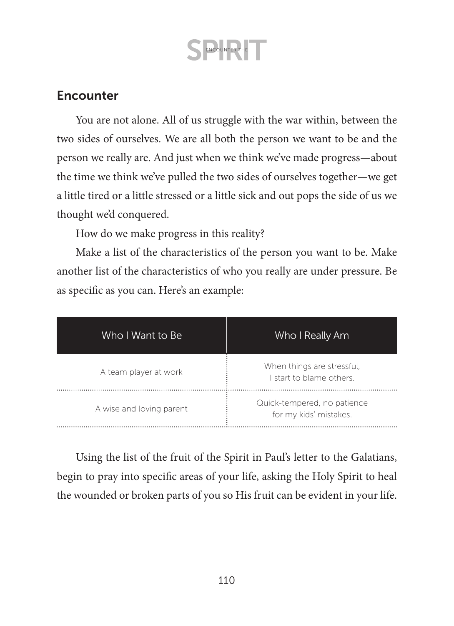### **Encounter**

You are not alone. All of us struggle with the war within, between the two sides of ourselves. We are all both the person we want to be and the person we really are. And just when we think we've made progress—about the time we think we've pulled the two sides of ourselves together—we get a little tired or a little stressed or a little sick and out pops the side of us we thought we'd conquered.

How do we make progress in this reality?

Make a list of the characteristics of the person you want to be. Make another list of the characteristics of who you really are under pressure. Be as specific as you can. Here's an example:

| Who I Want to Be         | Who I Really Am                                        |
|--------------------------|--------------------------------------------------------|
| A team player at work    | When things are stressful,<br>I start to blame others. |
| A wise and loving parent | Quick-tempered, no patience<br>for my kids' mistakes.  |

Using the list of the fruit of the Spirit in Paul's letter to the Galatians, begin to pray into specific areas of your life, asking the Holy Spirit to heal the wounded or broken parts of you so His fruit can be evident in your life.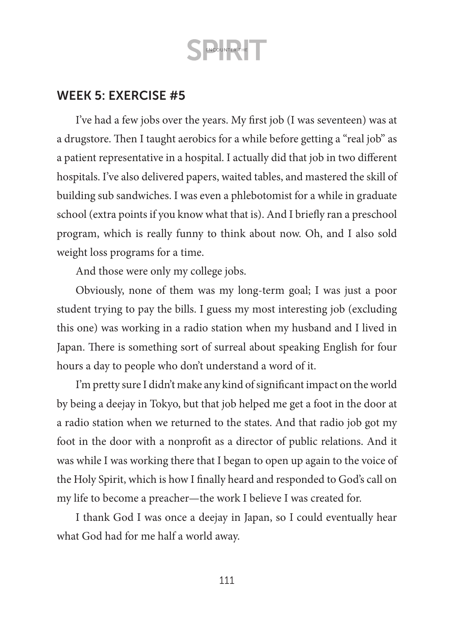### WEEK 5: EXERCISE #5

I've had a few jobs over the years. My first job (I was seventeen) was at a drugstore. Then I taught aerobics for a while before getting a "real job" as a patient representative in a hospital. I actually did that job in two different hospitals. I've also delivered papers, waited tables, and mastered the skill of building sub sandwiches. I was even a phlebotomist for a while in graduate school (extra points if you know what that is). And I briefly ran a preschool program, which is really funny to think about now. Oh, and I also sold weight loss programs for a time.

And those were only my college jobs.

Obviously, none of them was my long-term goal; I was just a poor student trying to pay the bills. I guess my most interesting job (excluding this one) was working in a radio station when my husband and I lived in Japan. There is something sort of surreal about speaking English for four hours a day to people who don't understand a word of it.

I'm pretty sure I didn't make any kind of significant impact on the world by being a deejay in Tokyo, but that job helped me get a foot in the door at a radio station when we returned to the states. And that radio job got my foot in the door with a nonprofit as a director of public relations. And it was while I was working there that I began to open up again to the voice of the Holy Spirit, which is how I finally heard and responded to God's call on my life to become a preacher—the work I believe I was created for.

I thank God I was once a deejay in Japan, so I could eventually hear what God had for me half a world away.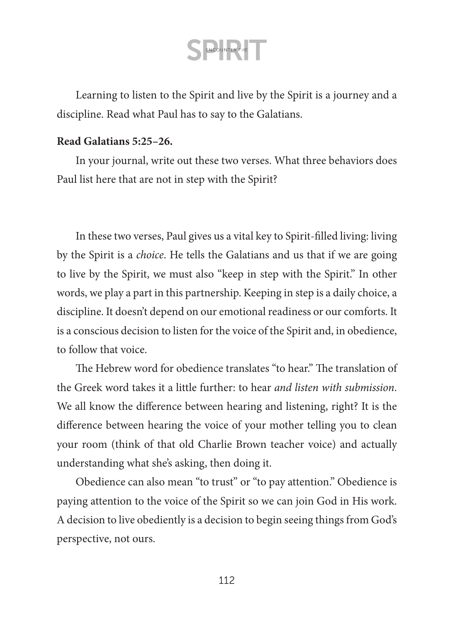Learning to listen to the Spirit and live by the Spirit is a journey and a discipline. Read what Paul has to say to the Galatians.

#### **Read Galatians 5:25–26.**

In your journal, write out these two verses. What three behaviors does Paul list here that are not in step with the Spirit?

In these two verses, Paul gives us a vital key to Spirit-filled living: living by the Spirit is a *choice*. He tells the Galatians and us that if we are going to live by the Spirit, we must also "keep in step with the Spirit." In other words, we play a part in this partnership. Keeping in step is a daily choice, a discipline. It doesn't depend on our emotional readiness or our comforts. It is a conscious decision to listen for the voice of the Spirit and, in obedience, to follow that voice.

The Hebrew word for obedience translates "to hear." The translation of the Greek word takes it a little further: to hear *and listen with submission*. We all know the difference between hearing and listening, right? It is the difference between hearing the voice of your mother telling you to clean your room (think of that old Charlie Brown teacher voice) and actually understanding what she's asking, then doing it.

Obedience can also mean "to trust" or "to pay attention." Obedience is paying attention to the voice of the Spirit so we can join God in His work. A decision to live obediently is a decision to begin seeing things from God's perspective, not ours.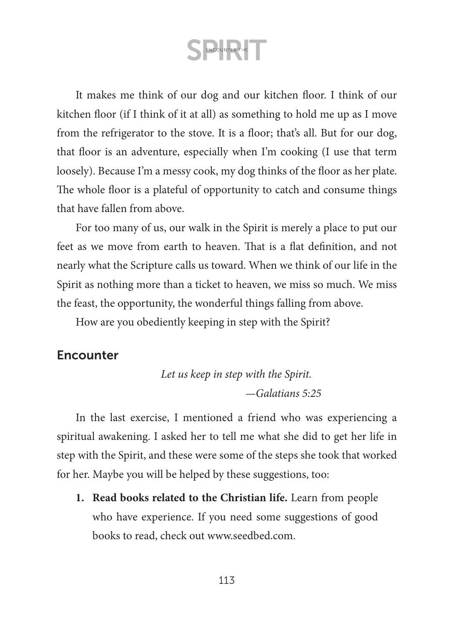It makes me think of our dog and our kitchen floor. I think of our kitchen floor (if I think of it at all) as something to hold me up as I move from the refrigerator to the stove. It is a floor; that's all. But for our dog, that floor is an adventure, especially when I'm cooking (I use that term loosely). Because I'm a messy cook, my dog thinks of the floor as her plate. The whole floor is a plateful of opportunity to catch and consume things that have fallen from above.

For too many of us, our walk in the Spirit is merely a place to put our feet as we move from earth to heaven. That is a flat definition, and not nearly what the Scripture calls us toward. When we think of our life in the Spirit as nothing more than a ticket to heaven, we miss so much. We miss the feast, the opportunity, the wonderful things falling from above.

How are you obediently keeping in step with the Spirit?

### **Encounter**

*Let us keep in step with the Spirit. —Galatians 5:25*

In the last exercise, I mentioned a friend who was experiencing a spiritual awakening. I asked her to tell me what she did to get her life in step with the Spirit, and these were some of the steps she took that worked for her. Maybe you will be helped by these suggestions, too:

**1. Read books related to the Christian life.** Learn from people who have experience. If you need some suggestions of good books to read, check out [www.seedbed.com.](http://www.seedbed.com)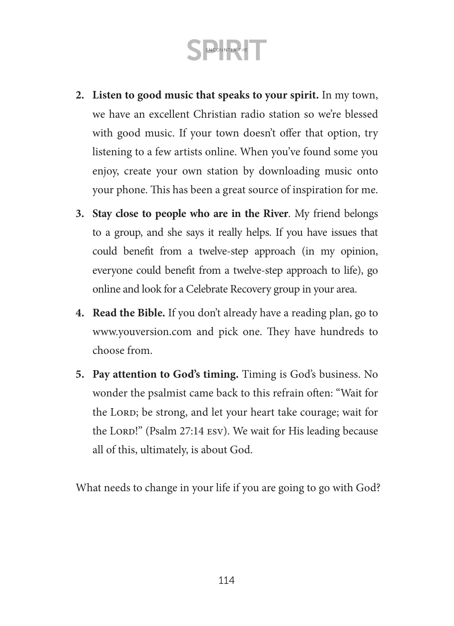- **2. Listen to good music that speaks to your spirit.** In my town, we have an excellent Christian radio station so we're blessed with good music. If your town doesn't offer that option, try listening to a few artists online. When you've found some you enjoy, create your own station by downloading music onto your phone. This has been a great source of inspiration for me.
- **3. Stay close to people who are in the River**. My friend belongs to a group, and she says it really helps. If you have issues that could benefit from a twelve-step approach (in my opinion, everyone could benefit from a twelve-step approach to life), go online and look for a Celebrate Recovery group in your area.
- **4. Read the Bible.** If you don't already have a reading plan, go to [www.youversion.com](http://www.youversion.com) and pick one. They have hundreds to choose from.
- **5. Pay attention to God's timing.** Timing is God's business. No wonder the psalmist came back to this refrain often: "Wait for the LORD; be strong, and let your heart take courage; wait for the LORD!" (Psalm 27:14 ESV). We wait for His leading because all of this, ultimately, is about God.

What needs to change in your life if you are going to go with God?